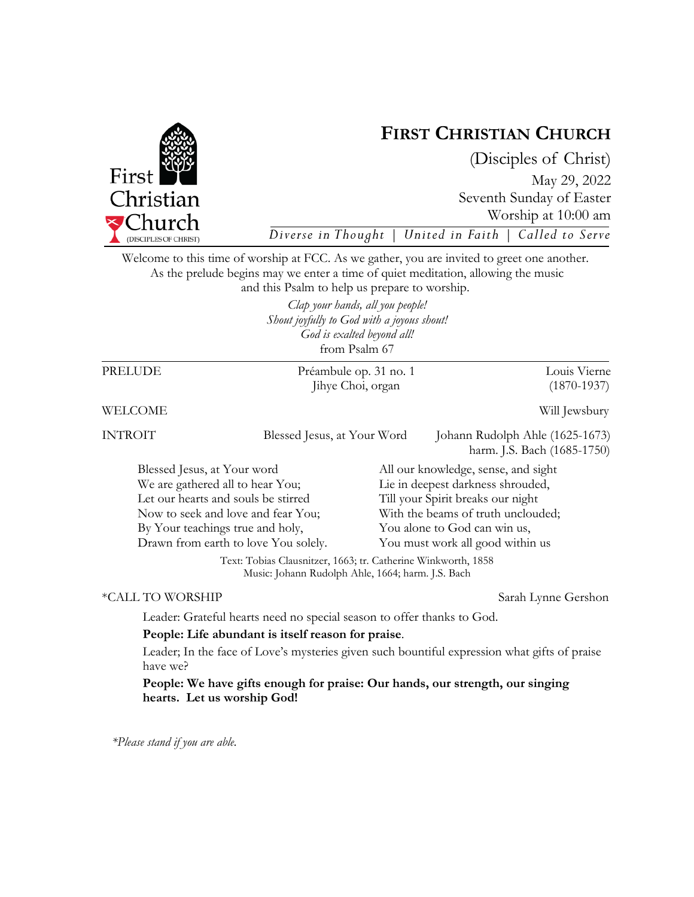

*\*Please stand if you are able.* 



# **FIRST CHRISTIAN CHURCH**

(Disciples of Christ) May 29, 2022 Seventh Sunday of Easter Worship at 10:00 am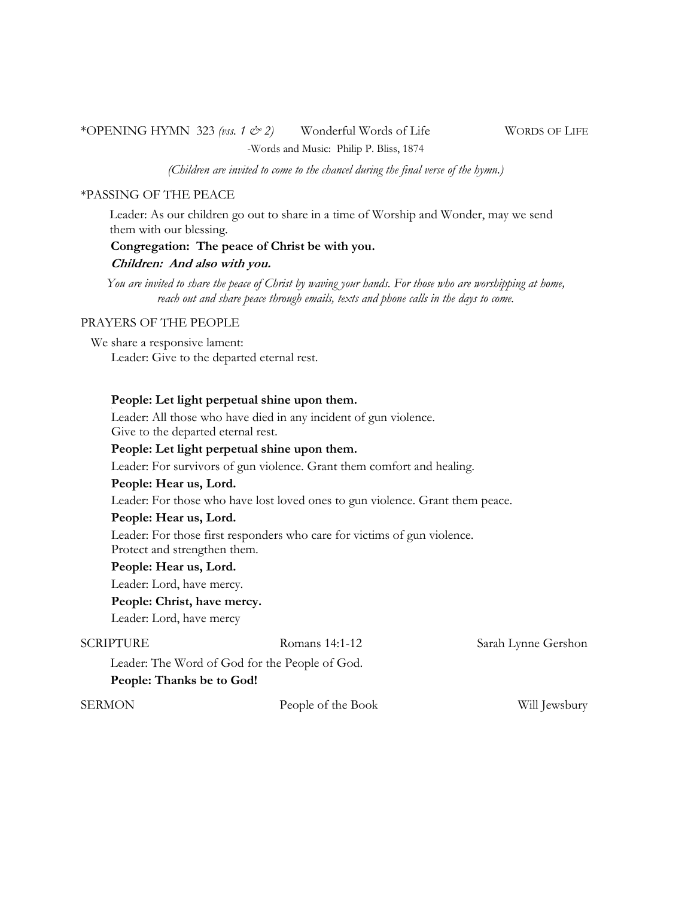# \*OPENING HYMN 323 *(vss. 1 & 2)* Wonderful Words of Life WORDS OF LIFE

-Words and Music: Philip P. Bliss, 1874

*(Children are invited to come to the chancel during the final verse of the hymn.)* 

### \*PASSING OF THE PEACE

Leader: As our children go out to share in a time of Worship and Wonder, may we send them with our blessing.

### **Congregation: The peace of Christ be with you.**

### **Children: And also with you.**

*You are invited to share the peace of Christ by waving your hands. For those who are worshipping at home,*  reach out and share peace through emails, texts and phone calls in the days to come.

### PRAYERS OF THE PEOPLE

We share a responsive lament: Leader: Give to the departed eternal rest.

### **People: Let light perpetual shine upon them.**

Leader: All those who have died in any incident of gun violence. Give to the departed eternal rest.

### **People: Let light perpetual shine upon them.**

Leader: For survivors of gun violence. Grant them comfort and healing.

### **People: Hear us, Lord.**

Leader: For those who have lost loved ones to gun violence. Grant them peace.

### **People: Hear us, Lord.**

Leader: For those first responders who care for victims of gun violence. Protect and strengthen them.

### **People: Hear us, Lord.**

Leader: Lord, have mercy.

### **People: Christ, have mercy.**

Leader: Lord, have mercy

SCRIPTURE Romans 14:1-12 Sarah Lynne Gershon

Leader: The Word of God for the People of God.

### **People: Thanks be to God!**

SERMON People of the Book Will Jewsbury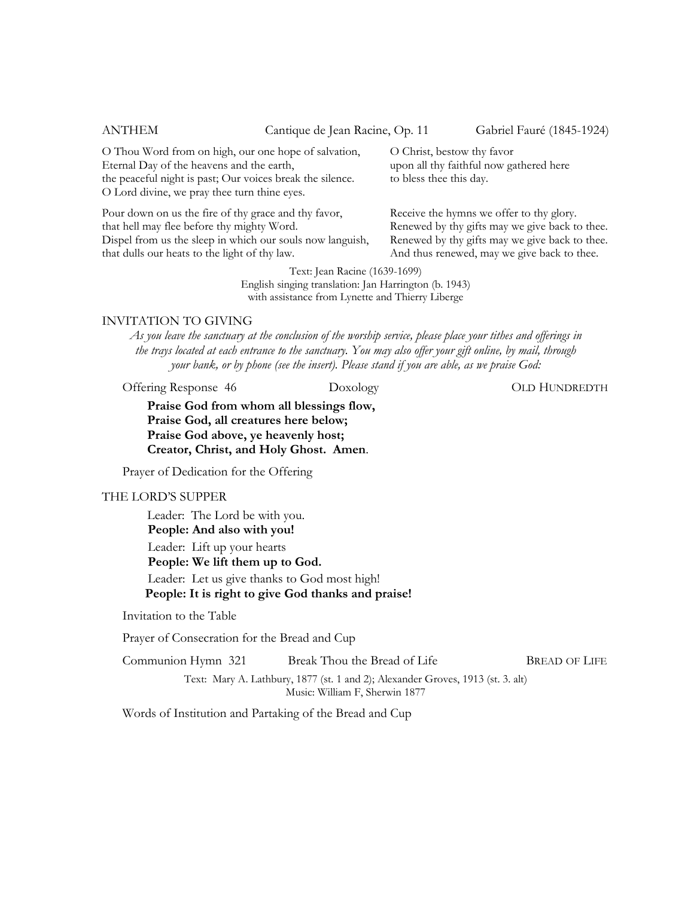ANTHEM Cantique de Jean Racine, Op. 11 Gabriel Fauré (1845-1924)

O Thou Word from on high, our one hope of salvation, Eternal Day of the heavens and the earth, the peaceful night is past; Our voices break the silence. O Lord divine, we pray thee turn thine eyes.

Pour down on us the fire of thy grace and thy favor, that hell may flee before thy mighty Word. Dispel from us the sleep in which our souls now languish, that dulls our heats to the light of thy law.

O Christ, bestow thy favor upon all thy faithful now gathered here to bless thee this day.

Receive the hymns we offer to thy glory. Renewed by thy gifts may we give back to thee. Renewed by thy gifts may we give back to thee. And thus renewed, may we give back to thee.

Text: Jean Racine (1639-1699) English singing translation: Jan Harrington (b. 1943) with assistance from Lynette and Thierry Liberge

### INVITATION TO GIVING

*As you leave the sanctuary at the conclusion of the worship service, please place your tithes and offerings in the trays located at each entrance to the sanctuary. You may also offer your gift online, by mail, through your bank, or by phone (see the insert). Please stand if you are able, as we praise God:* 

Offering Response 46 Doxology Doxology OLD HUNDREDTH

**Praise God from whom all blessings flow, Praise God, all creatures here below; Praise God above, ye heavenly host; Creator, Christ, and Holy Ghost. Amen**.

Prayer of Dedication for the Offering

### THE LORD'S SUPPER

Leader: The Lord be with you. **People: And also with you!**  Leader: Lift up your hearts **People: We lift them up to God.**  Leader: Let us give thanks to God most high!  **People: It is right to give God thanks and praise!** 

Invitation to the Table

Prayer of Consecration for the Bread and Cup

| Communion Hymn 321 | Break Thou the Bread of Life | <b>BREAD OF LIFE</b> |
|--------------------|------------------------------|----------------------|
|                    |                              |                      |

Text: Mary A. Lathbury, 1877 (st. 1 and 2); Alexander Groves, 1913 (st. 3. alt) Music: William F, Sherwin 1877

Words of Institution and Partaking of the Bread and Cup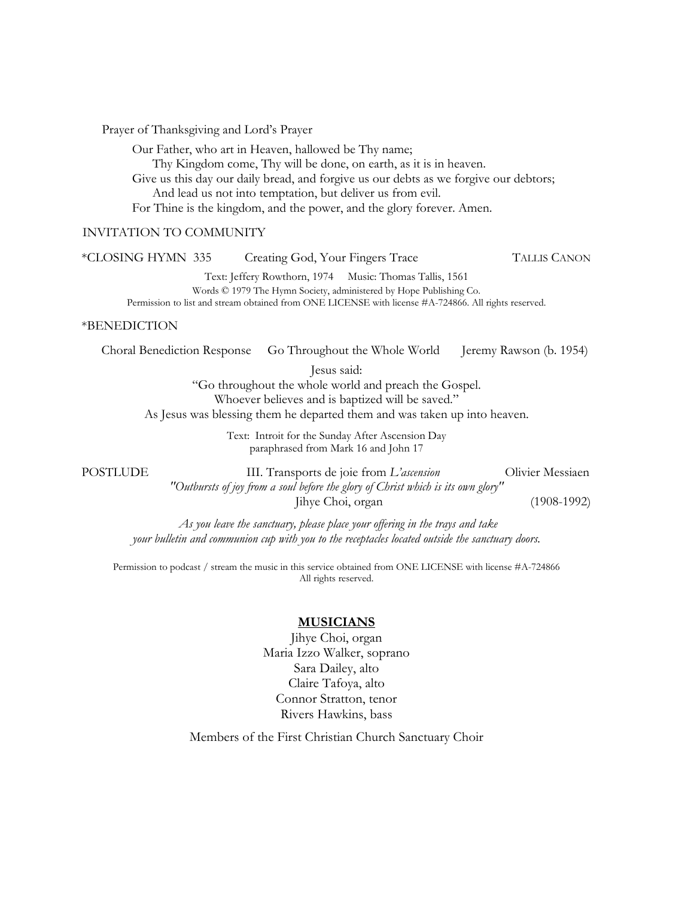Prayer of Thanksgiving and Lord's Prayer

Our Father, who art in Heaven, hallowed be Thy name;

Thy Kingdom come, Thy will be done, on earth, as it is in heaven.

Give us this day our daily bread, and forgive us our debts as we forgive our debtors; And lead us not into temptation, but deliver us from evil.

For Thine is the kingdom, and the power, and the glory forever. Amen.

### INVITATION TO COMMUNITY

| *CLOSING HYMN 335                                                                                                                                                                                     | Creating God, Your Fingers Trace |                   |                                                                                                                                                                                                                                       |                         | <b>TALLIS CANON</b>             |  |
|-------------------------------------------------------------------------------------------------------------------------------------------------------------------------------------------------------|----------------------------------|-------------------|---------------------------------------------------------------------------------------------------------------------------------------------------------------------------------------------------------------------------------------|-------------------------|---------------------------------|--|
|                                                                                                                                                                                                       |                                  |                   | Text: Jeffery Rowthorn, 1974 Music: Thomas Tallis, 1561<br>Words © 1979 The Hymn Society, administered by Hope Publishing Co.<br>Permission to list and stream obtained from ONE LICENSE with license #A-724866. All rights reserved. |                         |                                 |  |
| <i>*BENEDICTION</i>                                                                                                                                                                                   |                                  |                   |                                                                                                                                                                                                                                       |                         |                                 |  |
| Choral Benediction Response                                                                                                                                                                           |                                  |                   | Go Throughout the Whole World                                                                                                                                                                                                         | Jeremy Rawson (b. 1954) |                                 |  |
| Jesus said:<br>"Go throughout the whole world and preach the Gospel.<br>Whoever believes and is baptized will be saved."<br>As Jesus was blessing them he departed them and was taken up into heaven. |                                  |                   |                                                                                                                                                                                                                                       |                         |                                 |  |
| Text: Introit for the Sunday After Ascension Day<br>paraphrased from Mark 16 and John 17                                                                                                              |                                  |                   |                                                                                                                                                                                                                                       |                         |                                 |  |
| POSTLUDE                                                                                                                                                                                              |                                  | Jihye Choi, organ | III. Transports de joie from L'ascension<br>"Outbursts of joy from a soul before the glory of Christ which is its own glory"                                                                                                          |                         | Olivier Messiaen<br>(1908-1992) |  |
| As you leave the sanctuary, please place your offering in the trays and take                                                                                                                          |                                  |                   |                                                                                                                                                                                                                                       |                         |                                 |  |

Permission to podcast / stream the music in this service obtained from ONE LICENSE with license #A-724866 All rights reserved.

*your bulletin and communion cup with you to the receptacles located outside the sanctuary doors.* 

### **MUSICIANS**

Jihye Choi, organ Maria Izzo Walker, soprano Sara Dailey, alto Claire Tafoya, alto Connor Stratton, tenor Rivers Hawkins, bass

Members of the First Christian Church Sanctuary Choir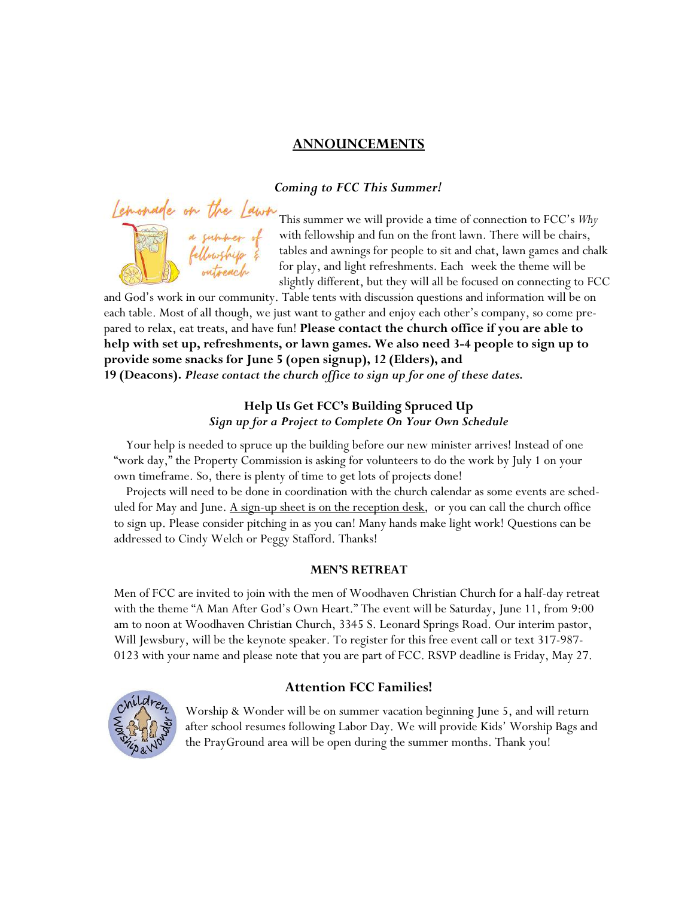# **ANNOUNCEMENTS**

### *Coming to FCC This Summer!*



This summer we will provide a time of connection to FCC's *Why*  $\frac{1}{2}$  **a** suppose of with fellowship and fun on the front lawn. There will be chairs, **that the law of the sign of the sit and chat, lawn games and chalk** for play, and light refreshments. Each week the theme will be slightly different, but they will all be focused on connecting to FCC

and God's work in our community. Table tents with discussion questions and information will be on each table. Most of all though, we just want to gather and enjoy each other's company, so come prepared to relax, eat treats, and have fun! **Please contact the church office if you are able to help with set up, refreshments, or lawn games. We also need 3-4 people to sign up to provide some snacks for June 5 (open signup), 12 (Elders), and 19 (Deacons).** *Please contact the church office to sign up for one of these dates.* 

### **Help Us Get FCC's Building Spruced Up**  *Sign up for a Project to Complete On Your Own Schedule*

 Your help is needed to spruce up the building before our new minister arrives! Instead of one "work day," the Property Commission is asking for volunteers to do the work by July 1 on your own timeframe. So, there is plenty of time to get lots of projects done!

 Projects will need to be done in coordination with the church calendar as some events are scheduled for May and June. <u>A sign-up sheet is on the reception desk</u>, or you can call the church office to sign up. Please consider pitching in as you can! Many hands make light work! Questions can be addressed to Cindy Welch or Peggy Stafford. Thanks!

### **MEN'S RETREAT**

Men of FCC are invited to join with the men of Woodhaven Christian Church for a half-day retreat with the theme "A Man After God's Own Heart." The event will be Saturday, June 11, from 9:00 am to noon at Woodhaven Christian Church, 3345 S. Leonard Springs Road. Our interim pastor, Will Jewsbury, will be the keynote speaker. To register for this free event call or text 317-987- 0123 with your name and please note that you are part of FCC. RSVP deadline is Friday, May 27.



### **Attention FCC Families!**

 Worship & Wonder will be on summer vacation beginning June 5, and will return after school resumes following Labor Day. We will provide Kids' Worship Bags and the PrayGround area will be open during the summer months. Thank you!